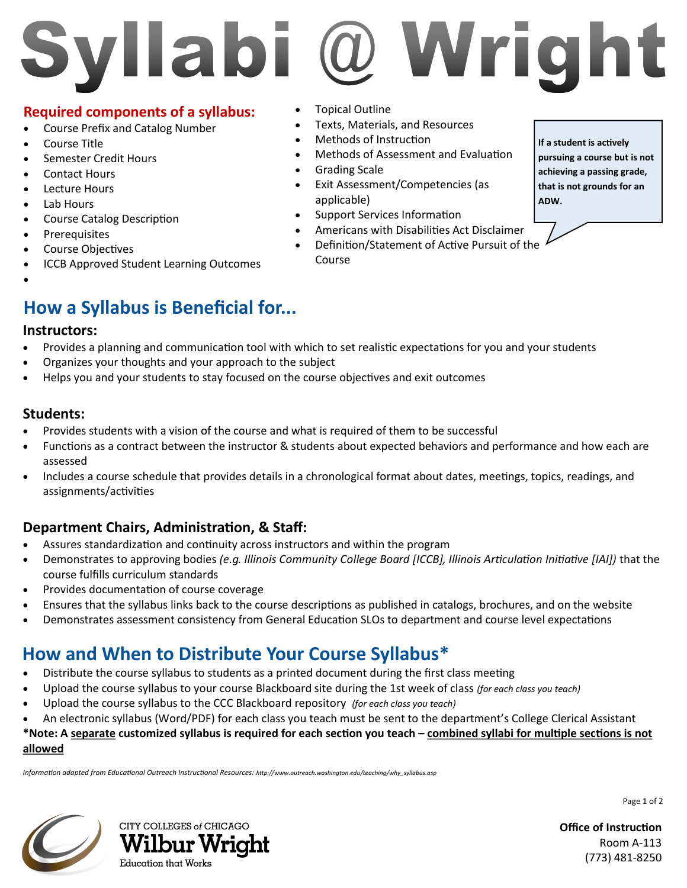## @ Wright Syllabi

### **Required components of a syllabus:**

- Course Prefix and Catalog Number
- Course Title
- Semester Credit Hours
- Contact Hours
- Lecture Hours
- Lab Hours
- Course Catalog Description
- Prerequisites
- Course Objectives
- ICCB Approved Student Learning Outcomes
- $\bullet$

## **How a Syllabus is Beneficial for...**

#### **Instructors:**

- Provides a planning and communication tool with which to set realistic expectations for you and your students
- Organizes your thoughts and your approach to the subject
- Helps you and your students to stay focused on the course objectives and exit outcomes

### **Students:**

- Provides students with a vision of the course and what is required of them to be successful
- Functions as a contract between the instructor & students about expected behaviors and performance and how each are assessed
- Includes a course schedule that provides details in a chronological format about dates, meetings, topics, readings, and assignments/activities

## **Department Chairs, Administration, & Staff:**

- Assures standardization and continuity across instructors and within the program
- Demonstrates to approving bodies *(e.g. Illinois Community College Board [ICCB], Illinois Articulation Initiative [IAI])* that the course fulfills curriculum standards
- Provides documentation of course coverage
- Ensures that the syllabus links back to the course descriptions as published in catalogs, brochures, and on the website
- Demonstrates assessment consistency from General Education SLOs to department and course level expectations

## **How and When to Distribute Your Course Syllabus\***

- Distribute the course syllabus to students as a printed document during the first class meeting
- Upload the course syllabus to your course Blackboard site during the 1st week of class *(for each class you teach)*
- Upload the course syllabus to the CCC Blackboard repository *(for each class you teach)*
- An electronic syllabus (Word/PDF) for each class you teach must be sent to the department's College Clerical Assistant

#### **\*Note: A separate customized syllabus is required for each section you teach – combined syllabi for multiple sections is not allowed**

*Information adapted from Educational Outreach Instructional Resources: http://www.outreach.washington.edu/teaching/why\_syllabus.asp* 





- Topical Outline
- Texts, Materials, and Resources
- Methods of Instruction
- Methods of Assessment and Evaluation
- Grading Scale
- Exit Assessment/Competencies (as applicable)
- Support Services Information
- Americans with Disabilities Act Disclaimer
- Definition/Statement of Active Pursuit of the Course

**If a student is actively pursuing a course but is not achieving a passing grade, that is not grounds for an ADW.** 

**Office of Instruction** Room A-113 (773) 481-8250

Page 1 of 2